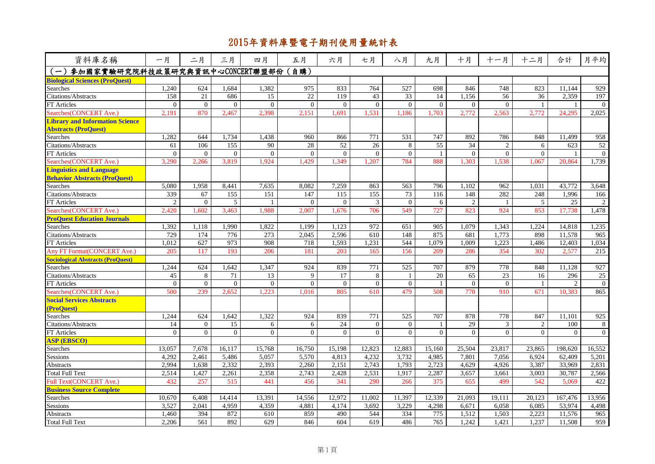| 資料庫名稱                                    | 一月             | 二月             | 三月             | 四月             | 五月             | 六月       | 七月               | 八月               | 九月              | 十月             | 十一月            | 十二月            | 合計             | 月平均             |
|------------------------------------------|----------------|----------------|----------------|----------------|----------------|----------|------------------|------------------|-----------------|----------------|----------------|----------------|----------------|-----------------|
| 参加國家實驗研究院科技政策研究與資訊中心CONCERT聯盟部份<br>$(-)$ |                |                |                |                | (自購)           |          |                  |                  |                 |                |                |                |                |                 |
| <b>Biological Sciences (ProQuest)</b>    |                |                |                |                |                |          |                  |                  |                 |                |                |                |                |                 |
| <b>Searches</b>                          | 1.240          | 624            | 1.684          | 1.382          | 975            | 833      | 764              | 527              | 698             | 846            | 748            | 823            | 11.144         | 929             |
| <b>Citations/Abstracts</b>               | 158            | 21             | 686            | 15             | 22             | 119      | 43               | 33               | 14              | 1,156          | 56             | 36             | 2,359          | 197             |
| <b>FT</b> Articles                       | $\mathbf{0}$   | $\theta$       | $\overline{0}$ | $\theta$       | $\overline{0}$ | $\Omega$ | $\Omega$         | $\Omega$         | $\overline{0}$  | $\Omega$       | $\Omega$       |                |                | $\theta$        |
| Searches(CONCERT Ave.)                   | 2,191          | 870            | 2.467          | 2.398          | 2,151          | 1,691    | 1.531            | 1.186            | 1,703           | 2,772          | 2.563          | 2,772          | 24,295         | 2,025           |
| <b>Library and Information Science</b>   |                |                |                |                |                |          |                  |                  |                 |                |                |                |                |                 |
| <b>Abstracts (ProQuest)</b>              |                |                |                |                |                |          |                  |                  |                 |                |                |                |                |                 |
| <b>Searches</b>                          | 1,282          | 644            | 1.734          | 1,438          | 960            | 866      | 771              | 531              | 747             | 892            | 786            | 848            | 11.499         | 958             |
| Citations/Abstracts                      | 61             | 106            | 155            | 90             | 28             | 52       | $\overline{26}$  | 8                | $\overline{55}$ | 34             | 2              | 6              | 623            | $\overline{52}$ |
| <b>FT</b> Articles                       | $\Omega$       | $\Omega$       | $\overline{0}$ | $\mathbf{0}$   | $\overline{0}$ | $\Omega$ | $\overline{0}$   | $\Omega$         | $\mathbf{1}$    | $\overline{0}$ | $\Omega$       | $\overline{0}$ |                | $\overline{0}$  |
| Searches(CONCERT Ave.)                   | 3,290          | 2.266          | 3,819          | 1.924          | 1,429          | 1,349    | 1.207            | 784              | 888             | 1.303          | 1,538          | 1.067          | 20.864         | 1,739           |
| <b>Linguistics and Language</b>          |                |                |                |                |                |          |                  |                  |                 |                |                |                |                |                 |
| <b>Behavior Abstracts (ProQuest)</b>     |                |                |                |                |                |          |                  |                  |                 |                |                |                |                |                 |
| Searches                                 | 5,080          | 1,958          | 8,441          | 7,635          | 8,082          | 7,259    | 863              | 563              | 796             | 1,102          | 962            | 1,031          | 43,772         | 3,648           |
| Citations/Abstracts                      | 339            | 67             | 155            | 151            | 147            | 115      | 155              | 73               | 116             | 148            | 282            | 248            | 1,996          | 166             |
| <b>FT</b> Articles                       | $\overline{2}$ | $\Omega$       | 5              |                | $\Omega$       | $\Omega$ | 3                | $\Omega$         | 6               | $\overline{2}$ | $\mathbf{1}$   | $\overline{5}$ | 25             | 2               |
| Searches(CONCERT Ave.)                   | 2,420          | 1,602          | 3,463          | 1.988          | 2,007          | 1,676    | 706              | 549              | 727             | 823            | 924            | 853            | 17,738         | 1,478           |
| <b>ProOuest Education Journals</b>       |                |                |                |                |                |          |                  |                  |                 |                |                |                |                |                 |
| Searches                                 | 1,392          | 1,118          | 1,990          | 1,822          | 1,199          | 1,123    | 972              | 651              | 905             | 1,079          | 1,343          | 1,224          | 14,818         | 1,235           |
| <b>Citations/Abstracts</b>               | 729            | 174            | 776            | 273            | 2,045          | 2,596    | 610              | 148              | 875             | 681            | 1,773          | 898            | 11,578         | 965             |
| FT Articles                              | 1,012          | 627            | 973            | 908            | 718            | 1,593    | 1,231            | 544              | 1,079           | 1,009          | 1,223          | 1,486          | 12,403         | 1,034           |
| <b>Any FT Format (CONCERT Ave.)</b>      | 205            | 117            | 193            | 206            | 181            | 203      | 165              | 156              | 209             | 286            | 354            | 302            | 2,577          | 215             |
| <b>Sociological Abstracts (ProQuest)</b> |                |                |                |                |                |          |                  |                  |                 |                |                |                |                |                 |
| <b>Searches</b>                          | 1,244          | 624            | 1,642          | 1,347          | 924            | 839      | 771              | 525              | 707             | 879            | 778            | 848            | 11.128         | 927             |
| Citations/Abstracts                      | 45             | 8              | 71             | 13             | 9              | 17       | 8                | 1                | 20              | 65             | 23             | 16             | 296            | 25              |
| <b>FT</b> Articles                       | $\overline{0}$ | $\Omega$       | $\theta$       | $\mathbf{0}$   | $\theta$       | $\theta$ | $\overline{0}$   | $\overline{0}$   | $\mathbf{1}$    | $\overline{0}$ | $\overline{0}$ | $\overline{1}$ | $\overline{2}$ | $\bf{0}$        |
| Searches(CONCERT Ave.)                   | 500            | 239            | 2,652          | 1.223          | 1,016          | 805      | 610              | 479              | 508             | 770            | 910            | 671            | 10,383         | 865             |
| <b>Social Services Abstracts</b>         |                |                |                |                |                |          |                  |                  |                 |                |                |                |                |                 |
| (ProQuest)                               |                |                |                |                |                |          |                  |                  |                 |                |                |                |                |                 |
| Searches                                 | 1,244          | 624            | 1,642          | 1,322          | 924            | 839      | $\overline{771}$ | $\overline{525}$ | 707             | 878            | 778            | 847            | 11.101         | 925             |
| Citations/Abstracts                      | 14             | $\overline{0}$ | 15             | 6              | 6              | 24       | $\mathbf{0}$     | $\overline{0}$   | 1               | 29             | 3              | 2              | 100            | 8               |
| <b>FT</b> Articles                       | $\Omega$       | $\Omega$       | $\theta$       | $\overline{0}$ | $\Omega$       | $\Omega$ | $\Omega$         | $\Omega$         | $\theta$        | $\Omega$       | $\Omega$       | $\Omega$       | $\Omega$       | $\theta$        |
| <b>ASP (EBSCO)</b>                       |                |                |                |                |                |          |                  |                  |                 |                |                |                |                |                 |
| Searches                                 | 13,057         | 7,678          | 16,117         | 15,768         | 16,750         | 15,198   | 12,823           | 12,883           | 15,160          | 25,504         | 23,817         | 23,865         | 198,620        | 16,552          |
| Sessions                                 | 4,292          | 2,461          | 5,486          | 5,057          | 5,570          | 4,813    | 4,232            | 3,732            | 4,985           | 7,801          | 7,056          | 6,924          | 62,409         | 5,201           |
| Abstracts                                | 2,994          | 1,638          | 2,332          | 2,393          | 2,260          | 2,151    | 2,743            | 1,793            | 2,723           | 4,629          | 4,926          | 3,387          | 33,969         | 2,831           |
| <b>Total Full Text</b>                   | 2,514          | 1,427          | 2,261          | 2,358          | 2,743          | 2,428    | 2,531            | 1,917            | 2,287           | 3,657          | 3,661          | 3,003          | 30,787         | 2,566           |
| <b>Full Text(CONCERT Ave.)</b>           | 432            | 257            | 515            | 441            | 456            | 341      | 290              | 266              | 375             | 655            | 499            | 542            | 5.069          | 422             |
| <b>Business Source Complete</b>          |                |                |                |                |                |          |                  |                  |                 |                |                |                |                |                 |
| Searches                                 | 10.670         | 6,408          | 14,414         | 13,391         | 14,556         | 12,972   | 11.002           | 11.397           | 12,339          | 21,093         | 19,111         | 20,123         | 167,476        | 13,956          |
| Sessions                                 | 3,527          | 2,041          | 4,959          | 4,359          | 4,881          | 4,174    | 3,692            | 3,229            | 4,298           | 6,671          | 6,058          | 6,085          | 53,974         | 4,498           |
| Abstracts                                | 1,460          | 394            | 872            | 610            | 859            | 490      | 544              | 334              | 775             | 1,512          | 1,503          | 2,223          | 11,576         | 965             |
| <b>Total Full Text</b>                   | 2,206          | 561            | 892            | 629            | 846            | 604      | 619              | 486              | 765             | 1,242          | 1,421          | 1,237          | 11,508         | 959             |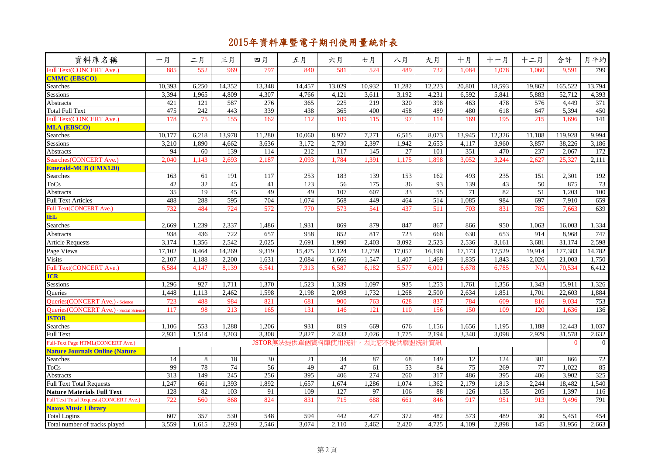| 資料庫名稱                                         | 一月     | 二月              | 三月     | 四月     | 五月                 | 六月     | 七月     | 八月            | 九月     | 十月     | 十一月    | 十二月              | 合計       | 月平均              |
|-----------------------------------------------|--------|-----------------|--------|--------|--------------------|--------|--------|---------------|--------|--------|--------|------------------|----------|------------------|
| Full Text(CONCERT Ave.)                       | 885    | 552             | 969    | 797    | 840                | 581    | 524    | 489           | 732    | 1,084  | 1,078  | 1.060            | 9,591    | 799              |
| <b>CMMC (EBSCO)</b>                           |        |                 |        |        |                    |        |        |               |        |        |        |                  |          |                  |
| Searches                                      | 10,393 | 6,250           | 14,352 | 13,348 | 14,457             | 13,029 | 10,932 | 11,282        | 12,223 | 20,801 | 18,593 | 19,862           | 165,522  | 13,794           |
| Sessions                                      | 3,394  | 1,965           | 4,809  | 4,307  | 4,766              | 4,121  | 3,611  | 3,192         | 4,231  | 6,592  | 5,841  | 5,883            | 52,712   | 4,393            |
| Abstracts                                     | 421    | 121             | 587    | 276    | 365                | 225    | 219    | 320           | 398    | 463    | 478    | 576              | 4,449    | 371              |
| <b>Total Full Text</b>                        | 475    | 242             | 443    | 339    | 438                | 365    | 400    | 458           | 489    | 480    | 618    | 647              | 5.394    | 450              |
| <b>Full Text(CONCERT Ave.)</b>                | 178    | 75              | 155    | 162    | 112                | 109    | 115    | 97            | 114    | 169    | 195    | 215              | 1.696    | 141              |
| <b>MLA (EBSCO)</b>                            |        |                 |        |        |                    |        |        |               |        |        |        |                  |          |                  |
| Searches                                      | 10.177 | 6,218           | 13,978 | 11,280 | 10,060             | 8,977  | 7,271  | 6,515         | 8.073  | 13,945 | 12,326 | 11.108           | 119.928  | 9,994            |
| Sessions                                      | 3.210  | 1.890           | 4.662  | 3,636  | 3,172              | 2.730  | 2,397  | 1,942         | 2.653  | 4,117  | 3.960  | 3,857            | 38,226   | 3,186            |
| <b>Abstracts</b>                              | 94     | 60              | 139    | 114    | 212                | 117    | 145    | 27            | 101    | 351    | 470    | 237              | 2,067    | 172              |
| Searches(CONCERT Ave.)                        | 2.040  | 1.143           | 2.693  | 2.187  | 2.093              | 1.784  | 1.391  | 1.175         | 1.898  | 3.052  | 3,244  | 2.627            | 25,327   | 2.111            |
| <b>Emerald-MCB (EMX120)</b>                   |        |                 |        |        |                    |        |        |               |        |        |        |                  |          |                  |
| Searches                                      | 163    | 61              | 191    | 117    | 253                | 183    | 139    | 153           | 162    | 493    | 235    | 151              | 2,301    | 192              |
| <b>ToCs</b>                                   | 42     | $\overline{32}$ | 45     | 41     | 123                | 56     | 175    | 36            | 93     | 139    | 43     | 50               | 875      | 73               |
| <b>Abstracts</b>                              | 35     | 19              | 45     | 49     | 49                 | 107    | 607    | 33            | 55     | 71     | 82     | 51               | 1.203    | 100              |
| <b>Full Text Articles</b>                     | 488    | 288             | 595    | 704    | 1,074              | 568    | 449    | 464           | 514    | 1,085  | 984    | 697              | 7,910    | 659              |
| Full Text(CONCERT Ave.)                       | 732    | 484             | 724    | 572    | 770                | 573    | 541    | 437           | 511    | 703    | 831    | 785              | 7.663    | 639              |
| <b>IEL</b>                                    |        |                 |        |        |                    |        |        |               |        |        |        |                  |          |                  |
| Searches                                      | 2.669  | 1,239           | 2,337  | 1,486  | 1,931              | 869    | 879    | 847           | 867    | 866    | 950    | 1.063            | 16.003   | 1,334            |
| Abstracts                                     | 938    | 436             | 722    | 657    | 958                | 852    | 817    | 723           | 668    | 630    | 653    | 914              | 8,968    | 747              |
| <b>Article Requests</b>                       | 3,174  | 1,356           | 2,542  | 2,025  | 2,691              | 1,990  | 2,403  | 3,092         | 2,523  | 2,536  | 3,161  | 3,681            | 31,174   | 2,598            |
| Page Views                                    | 17,102 | 8,464           | 14,269 | 9,319  | 15,475             | 12,124 | 12,759 | 17,057        | 16,198 | 17,173 | 17,529 | 19,914           | 177,383  | 14,782           |
| <b>Visits</b>                                 | 2,107  | 1,188           | 2,200  | 1,631  | 2,084              | 1,666  | 1,547  | 1,407         | 1,469  | 1,835  | 1,843  | 2,026            | 21,003   | 1,750            |
| <b>Full Text(CONCERT Ave.)</b>                | 6,584  | 4,147           | 8,139  | 6,541  | 7,313              | 6,587  | 6.182  | 5,577         | 6.001  | 6.678  | 6,785  | N/A              | 70,534   | 6,412            |
| <b>JCR</b>                                    |        |                 |        |        |                    |        |        |               |        |        |        |                  |          |                  |
| Sessions                                      | 1,296  | 927             | 1,711  | 1,370  | 1,523              | 1,339  | 1.097  | 935           | 1,253  | 1,761  | 1,356  | 1,343            | 15,911   | 1,326            |
| <b>Oueries</b>                                | 1,448  | 1,113           | 2,462  | 1,598  | 2,198              | 2,098  | 1,732  | 1,268         | 2,500  | 2,634  | 1,851  | 1,701            | 22,603   | 1,884            |
| <b>Oueries (CONCERT Ave.)</b> - Science       | 723    | 488             | 984    | 821    | 681                | 900    | 763    | 628           | 837    | 784    | 609    | 816              | 9.034    | 753              |
| <b>Oueries</b> (CONCERT Ave.) - Social Scienc | 117    | 98              | 213    | 165    | 131                | 146    | 121    | 110           | 156    | 150    | 109    | 120              | 1.636    | 136              |
| <b>JSTOR</b>                                  |        |                 |        |        |                    |        |        |               |        |        |        |                  |          |                  |
| Searches                                      | 1,106  | 553             | 1,288  | 1,206  | 931                | 819    | 669    | 676           | 1,156  | 1,656  | 1,195  | 1,188            | 12,443   | 1,037            |
| <b>Full Text</b>                              | 2,931  | 1,514           | 3,203  | 3,308  | 2,827              | 2,433  | 2,026  | 1,775         | 2,194  | 3,340  | 3,098  | 2.929            | 31,578   | 2,632            |
| Full-Text Page HTML(CONCERT Ave.)             |        |                 |        |        | JSTOR無法提供單個資料庫使用統計 |        |        | ,因此恕不提供聯盟統計資訊 |        |        |        |                  | $\theta$ | $\boldsymbol{0}$ |
| <b>Nature Journals Online (Nature</b>         |        |                 |        |        |                    |        |        |               |        |        |        |                  |          |                  |
| Searches                                      | 14     | 8               | 18     | 30     | 21                 | 34     | 87     | 68            | 149    | 12     | 124    | 301              | 866      | 72               |
| <b>ToCs</b>                                   | 99     | 78              | 74     | 56     | 49                 | 47     | 61     | 53            | 84     | 75     | 269    | 77               | 1.022    | 85               |
| Abstracts                                     | 313    | 149             | 245    | 256    | 395                | 406    | 274    | 260           | 317    | 486    | 395    | 406              | 3,902    | 325              |
| <b>Full Text Total Requests</b>               | 1,247  | 661             | 1,393  | 1,892  | 1,657              | 1.674  | 1,286  | 1,074         | 1,362  | 2,179  | 1.813  | 2,244            | 18.482   | 1,540            |
| <b>Nature Materials Full Text</b>             | 128    | 82              | 103    | 91     | 109                | 127    | 97     | 106           | 88     | 126    | 135    | 205              | 1,397    | 116              |
| <b>Full Text Total Requests(CONCERT Ave.)</b> | 722    | 560             | 868    | 824    | 831                | 715    | 688    | 661           | 846    | 917    | 951    | 913              | 9.496    | 791              |
| <b>Naxos Music Library</b>                    |        |                 |        |        |                    |        |        |               |        |        |        |                  |          |                  |
| <b>Total Logins</b>                           | 607    | 357             | 530    | 548    | 594                | 442    | 427    | 372           | 482    | 573    | 489    | 30               | 5,451    | 454              |
| Total number of tracks played                 | 3,559  | 1,615           | 2,293  | 2,546  | 3,074              | 2,110  | 2,462  | 2,420         | 4,725  | 4,109  | 2,898  | $\overline{145}$ | 31,956   | 2,663            |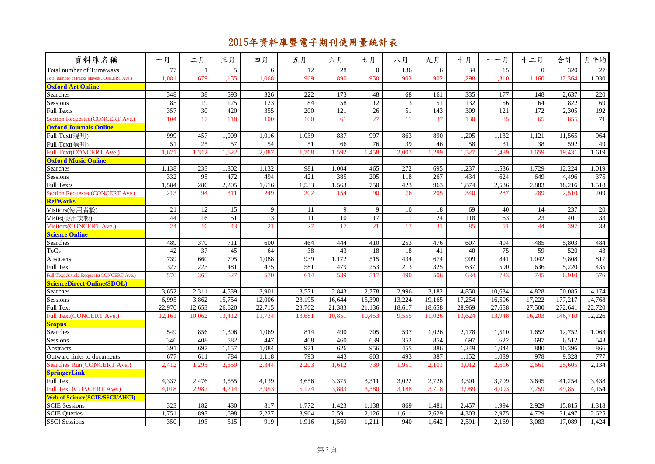| 資料庫名稱                                       | 一月     | 二月              | 三月               | 四月              | 五月     | 六月              | 七月              | 八月              | 九月              | 十月     | 十一月    | 十二月             | 合計      | 月平均    |
|---------------------------------------------|--------|-----------------|------------------|-----------------|--------|-----------------|-----------------|-----------------|-----------------|--------|--------|-----------------|---------|--------|
| Total number of Turnaways                   | 77     | $\mathbf{1}$    | 5                | 6               | 12     | 28              | $\Omega$        | 136             | 6               | 34     | 15     | $\Omega$        | 320     | 27     |
| Total number of tracks played(CONCERT Ave.) | 1,081  | 679             | 1,155            | 1.068           | 969    | 890             | 950             | 902             | 902             | 1,298  | 1,310  | 1.160           | 12.364  | 1,030  |
| <b>Oxford Art Online</b>                    |        |                 |                  |                 |        |                 |                 |                 |                 |        |        |                 |         |        |
| Searches                                    | 348    | 38              | 593              | 326             | 222    | 173             | 48              | 68              | 161             | 335    | 177    | 148             | 2,637   | 220    |
| <b>Sessions</b>                             | 85     | 19              | $\overline{125}$ | 123             | 84     | 58              | $\overline{12}$ | 13              | 51              | 132    | 56     | 64              | 822     | 69     |
| <b>Full Texts</b>                           | 357    | 30              | 420              | 355             | 200    | 121             | 26              | 51              | 143             | 309    | 121    | 172             | 2,305   | 192    |
| Section Requested(CONCERT Ave.)             | 104    | 17              | 118              | 100             | 100    | 61              | 27              | 11              | 37              | 130    | 85     | 65              | 855     | 71     |
| <b>Oxford Journals Online</b>               |        |                 |                  |                 |        |                 |                 |                 |                 |        |        |                 |         |        |
| Full-Text(現刊)                               | 999    | 457             | 1.009            | 1,016           | 1,039  | 837             | 997             | 863             | 890             | 1,205  | 1,132  | 1.121           | 11,565  | 964    |
| Full-Text(過刊)                               | 51     | 25              | 57               | 54              | 51     | 66              | 76              | 39              | 46              | 58     | 31     | 38              | 592     | 49     |
| Full-Text(CONCERT Ave.)                     | .621   | .312            | .622             | 2.087           | 1.768  | 1.592           | 1,458           | 2.007           | 1,289           | 1,527  | ,489   | 1.659           | 19.431  | 1,619  |
| <b>Oxford Music Online</b>                  |        |                 |                  |                 |        |                 |                 |                 |                 |        |        |                 |         |        |
| Searches                                    | 1,138  | 233             | 1,802            | 1,132           | 981    | 1,004           | 465             | 272             | 695             | 1,237  | 1,536  | 1,729           | 12,224  | 1,019  |
| Sessions                                    | 332    | $\overline{95}$ | 472              | 494             | 421    | 385             | 205             | 118             | 267             | 434    | 624    | 649             | 4,496   | 375    |
| <b>Full Texts</b>                           | 1,584  | 286             | 2,205            | 1,616           | 1,533  | 1,563           | 750             | 423             | 963             | 1,874  | 2,536  | 2,883           | 18,216  | 1,518  |
| Section Requested(CONCERT Ave.)             | 213    | 94              | 311              | 249             | 202    | 154             | 90              | 76              | 205             | 340    | 287    | 289             | 2.510   | 209    |
| <b>RefWorks</b>                             |        |                 |                  |                 |        |                 |                 |                 |                 |        |        |                 |         |        |
| Visitors(使用者數)                              | 21     | 12              | 15               | 9               | 11     | 9               | 9               | 10              | 18              | 69     | 40     | 14              | 237     | 20     |
| Visits(使用次數)                                | 44     | 16              | $\overline{51}$  | $\overline{13}$ | 11     | $\overline{10}$ | 17              | $\overline{11}$ | $\overline{24}$ | 118    | 63     | $\overline{23}$ | 401     | 33     |
| <b>Visitors(CONCERT Ave.)</b>               | 24     | 16              | 43               | 21              | 27     | 17              | 21              | 17              | 31              | 85     | 51     | 44              | 397     | 33     |
| <b>Science Online</b>                       |        |                 |                  |                 |        |                 |                 |                 |                 |        |        |                 |         |        |
| Searches                                    | 489    | 370             | 711              | 600             | 464    | 444             | 410             | 253             | 476             | 607    | 494    | 485             | 5,803   | 484    |
| ToCs                                        | 42     | 37              | 45               | 64              | 38     | 43              | 18              | 18              | 41              | 40     | 75     | 59              | 520     | 43     |
| Abstracts                                   | 739    | 660             | 795              | 1,088           | 939    | 1.172           | 515             | 434             | 674             | 909    | 841    | 1,042           | 9,808   | 817    |
| <b>Full Text</b>                            | 327    | 223             | 481              | 475             | 581    | 479             | 253             | 213             | 325             | 637    | 590    | 636             | 5,220   | 435    |
| Juli Text Article Requests (CONCERT Ave.)   | 570    | 365             | 627              | 570             | 614    | 539             | 517             | 490             | 506             | 634    | 733    | 745             | 6,910   | 576    |
| <b>ScienceDirect Online(SDOL)</b>           |        |                 |                  |                 |        |                 |                 |                 |                 |        |        |                 |         |        |
| Searches                                    | 3,652  | 2,311           | 4,539            | 3,901           | 3,571  | 2,843           | 2,778           | 2,996           | 3,182           | 4,850  | 10.634 | 4,828           | 50,085  | 4,174  |
| Sessions                                    | 6,995  | 3,862           | 15,754           | 12,006          | 23,195 | 16,644          | 15,390          | 13,224          | 19,165          | 17,254 | 16,506 | 17,222          | 177,217 | 14,768 |
| <b>Full Text</b>                            | 22,970 | 12,653          | 26,620           | 22,715          | 23,762 | 21,383          | 21,136          | 18,617          | 18,658          | 28,969 | 27,658 | 27,500          | 272,641 | 22,720 |
| Full Text(CONCERT Ave.)                     | 12.161 | 10.062          | 13,412           | 11,734          | 13,681 | 10.851          | 10.453          | 9,555           | 11.026          | 13,624 | 13,948 | 16.203          | 146,710 | 12,226 |
| <b>Scopus</b>                               |        |                 |                  |                 |        |                 |                 |                 |                 |        |        |                 |         |        |
| Searches                                    | 549    | 856             | 1,306            | 1,069           | 814    | 490             | 705             | 597             | 1,026           | 2,178  | 1,510  | 1,652           | 12,752  | 1,063  |
| Sessions                                    | 346    | 408             | 582              | 447             | 408    | 460             | 639             | 352             | 854             | 697    | 622    | 697             | 6,512   | 543    |
| Abstracts                                   | 391    | 697             | 1,157            | 1,084           | 971    | 626             | 956             | 455             | 886             | 1,249  | 1,044  | 880             | 10,396  | 866    |
| Outward links to documents                  | 677    | 611             | 784              | 1.118           | 793    | 443             | 803             | 493             | 387             | 1,152  | 1.089  | 978             | 9,328   | 777    |
| <b>Searches Run(CONCERT Ave.)</b>           | 2,412  | 1,295           | 2,659            | 2,344           | 2,203  | 1,612           | 739             | 1.951           | 2,101           | 3,012  | 2,616  | 2,661           | 25,605  | 2,134  |
| <b>SpringerLink</b>                         |        |                 |                  |                 |        |                 |                 |                 |                 |        |        |                 |         |        |
| <b>Full Text</b>                            | 4,337  | 2,476           | 3,555            | 4,139           | 3,656  | 3,375           | 3,311           | 3,022           | 2,728           | 3,301  | 3,709  | 3,645           | 41,254  | 3,438  |
| Full Text (CONCERT Ave.)                    | 4.018  | 2.982           | 4,214            | 3.953           | 5,174  | 3,883           | 3.380           | 3,188           | 3,718           | 3,989  | 4.093  | 7.259           | 49.851  | 4,154  |
| <b>Web of Science(SCIE/SSCI/AHCI)</b>       |        |                 |                  |                 |        |                 |                 |                 |                 |        |        |                 |         |        |
| <b>SCIE Sessions</b>                        | 323    | 182             | 430              | 817             | 1,772  | 1,423           | 1,138           | 869             | 1,481           | 2,457  | 1,994  | 2,929           | 15,815  | 1,318  |
| <b>SCIE Queries</b>                         | 1,751  | 893             | 1,698            | 2,227           | 3,964  | 2,591           | 2,126           | 1,611           | 2,629           | 4,303  | 2,975  | 4,729           | 31,497  | 2,625  |
| <b>SSCI</b> Sessions                        | 350    | 193             | 515              | 919             | 1,916  | 1,560           | 1,211           | 940             | 1.642           | 2,591  | 2,169  | 3.083           | 17.089  | 1,424  |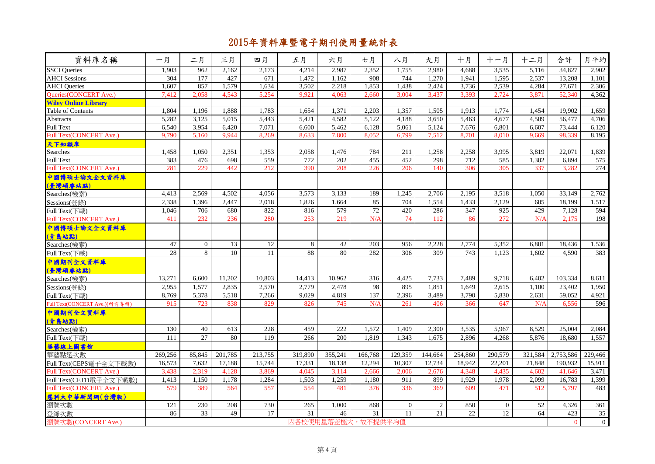| 資料庫名稱                          | 一月      | 二月              | 三月      | 四月              | 五月              | 六月                 | 七月      | 八月             | 九月      | 十月              | 十一月            | 十二月     | 合計           | 月平均             |
|--------------------------------|---------|-----------------|---------|-----------------|-----------------|--------------------|---------|----------------|---------|-----------------|----------------|---------|--------------|-----------------|
| <b>SSCI</b> Queries            | 1,903   | 962             | 2,162   | 2,173           | 4,214           | 2,987              | 2,352   | 1,755          | 2.980   | 4.688           | 3,535          | 5,116   | 34,827       | 2,902           |
| <b>AHCI</b> Sessions           | 304     | 177             | 427     | 671             | 1,472           | 1,162              | 908     | 744            | 1,270   | 1,941           | 1,595          | 2,537   | 13,208       | 1,101           |
| <b>AHCI</b> Queries            | 1.607   | 857             | 1,579   | 1,634           | 3,502           | 2,218              | 1,853   | 1,438          | 2,424   | 3,736           | 2,539          | 4,284   | 27,671       | 2,306           |
| Queries(CONCERT Ave.)          | 7,412   | 2,058           | 4,543   | 5,254           | 9,921           | 4,063              | 2,660   | 3,004          | 3,437   | 3,393           | 2,724          | 3,871   | 52,340       | 4,362           |
| <b>Wiley Online Library</b>    |         |                 |         |                 |                 |                    |         |                |         |                 |                |         |              |                 |
| Table of Contents              | 1,804   | 1,196           | 1,888   | 1,783           | 1,654           | 1,371              | 2,203   | 1,357          | 1,505   | 1,913           | 1,774          | 1,454   | 19,902       | 1,659           |
| Abstracts                      | 5,282   | 3,125           | 5,015   | 5,443           | 5,421           | 4,582              | 5,122   | 4,188          | 3,650   | 5,463           | 4,677          | 4,509   | 56,477       | 4,706           |
| <b>Full Text</b>               | 6.540   | 3,954           | 6.420   | 7,071           | 6.600           | 5.462              | 6,128   | 5,061          | 5,124   | 7.676           | 6.801          | 6.607   | 73,444       | 6,120           |
| Full Text(CONCERT Ave.)        | 9,790   | 5,160           | 9.944   | 8,269           | 8,633           | 7,800              | 8,052   | 6,799          | 7,512   | 8,701           | 8,010          | 9.669   | 98,339       | 8,195           |
| <mark>天下知識庫</mark><br>Searches |         |                 |         |                 |                 |                    |         |                |         |                 |                |         |              |                 |
|                                | 1,458   | 1,050           | 2,351   | 1,353           | 2,058           | 1.476              | 784     | 211            | 1,258   | 2,258           | 3,995          | 3,819   | 22,071       | 1,839           |
| Full Text                      | 383     | 476             | 698     | 559             | 772             | 202                | 455     | 452            | 298     | 712             | 585            | 1,302   | 6,894        | 575             |
| <b>Full Text(CONCERT Ave.)</b> | 281     | 229             | 442     | 212             | 390             | 208                | 226     | 206            | 140     | 306             | 305            | 337     | 3,282        | 274             |
| 中國博碩士論文全文資料庫                   |         |                 |         |                 |                 |                    |         |                |         |                 |                |         |              |                 |
| (臺灣碩睿站點)                       |         |                 |         |                 |                 |                    |         |                |         |                 |                |         |              |                 |
| Searches(檢索)                   | 4,413   | 2,569           | 4,502   | 4,056           | 3,573           | 3,133              | 189     | 1,245          | 2,706   | 2,195           | 3,518          | 1,050   | 33,149       | 2,762           |
| Sessions(登錄)                   | 2,338   | 1,396           | 2,447   | 2,018           | 1,826           | 1.664              | 85      | 704            | 1,554   | 1,433           | 2,129          | 605     | 18,199       | 1,517           |
| Full Text(下載)                  | 1,046   | 706             | 680     | 822             | 816             | 579                | 72      | 420            | 286     | 347             | 925            | 429     | 7,128        | 594             |
| Full Text(CONCERT Ave.)        | 411     | 232             | 236     | 280             | 253             | 219                | N/A     | 74             | 112     | 86              | 272            | N/A     | 2,175        | 198             |
| 中國博碩士論文全文資料庫                   |         |                 |         |                 |                 |                    |         |                |         |                 |                |         |              |                 |
| (青島站點)                         |         |                 |         |                 |                 |                    |         |                |         |                 |                |         |              |                 |
| Searches(檢索)                   | 47      | $\overline{0}$  | 13      | 12              | 8               | $42\,$             | 203     | 956            | 2,228   | 2,774           | 5,352          | 6,801   | 18,436       | 1,536           |
| Full Text(下載)                  | 28      | 8               | 10      | $\overline{11}$ | 88              | 80                 | 282     | 306            | 309     | 743             | 1,123          | 1,602   | 4,590        | 383             |
| 中國期刊全文資料庫                      |         |                 |         |                 |                 |                    |         |                |         |                 |                |         |              |                 |
| (臺灣碩睿站點)                       |         |                 |         |                 |                 |                    |         |                |         |                 |                |         |              |                 |
| Searches(檢索)                   | 13.271  | 6.600           | 11,202  | 10,803          | 14,413          | 10.962             | 316     | 4.425          | 7.733   | 7.489           | 9,718          | 6.402   | 103,334      | 8,611           |
| Sessions(登錄)                   | 2,955   | 1,577           | 2.835   | 2,570           | 2.779           | 2,478              | 98      | 895            | 1,851   | 1.649           | 2.615          | 1.100   | 23,402       | 1.950           |
| Full Text(下載)                  | 8,769   | 5,378           | 5,518   | 7,266           | 9,029           | 4,819              | 137     | 2,396          | 3,489   | 3,790           | 5,830          | 2,631   | 59,052       | 4,921           |
| Full Text(CONCERT Ave.)(所有專輯)  | 915     | 723             | 838     | 829             | 826             | 745                | N/A     | 261            | 406     | 366             | 647            | N/A     | 6.556        | 596             |
| 中國期刊全文資料庫                      |         |                 |         |                 |                 |                    |         |                |         |                 |                |         |              |                 |
| (青島站點)                         |         |                 |         |                 |                 |                    |         |                |         |                 |                |         |              |                 |
| Searches(檢索)                   | 130     | 40              | 613     | 228             | 459             | 222                | 1,572   | 1,409          | 2,300   | 3,535           | 5,967          | 8.529   | 25,004       | 2,084           |
| Full Text(下載)                  | 111     | $\overline{27}$ | 80      | 119             | 266             | 200                | 1,819   | 1,343          | 1.675   | 2.896           | 4,268          | 5.876   | 18.680       | 1.557           |
| 華藝線上圖書館                        |         |                 |         |                 |                 |                    |         |                |         |                 |                |         |              |                 |
| 華藝點選次數                         | 269,256 | 85,845          | 201,785 | 213,755         | 319,890         | 355,241            | 166,768 | 129,359        | 144,664 | 254,860         | 290,579        | 321,584 | 2,753,586    | 229,466         |
| Full Text(CEPS電子全文下載數)         | 16,573  | 7,632           | 17,188  | 15,744          | 17,331          | 18,138             | 12,294  | 10,307         | 12,734  | 18,942          | 22,201         | 21,848  | 190,932      | 15,911          |
| Full Text(CONCERT Ave.)        | 3,438   | 2,319           | 4.128   | 3,869           | 4.045           | 3,114              | 2,666   | 2,006          | 2.676   | 4.348           | 4.435          | 4.602   | 41.646       | 3,471           |
| Full Text(CETD電子全文下載數)         | 1,413   | 1,150           | 1,178   | 1,284           | 1,503           | 1,259              | 1,180   | 911            | 899     | 1,929           | 1,978          | 2,099   | 16,783       | 1,399           |
| Full Text(CONCERT Ave.)        | 579     | 389             | 564     | 557             | 554             | 481                | 376     | 336            | 369     | 609             | 471            | 512     | 5,797        | 483             |
| 慧科大中華新聞網(台灣版)                  |         |                 |         |                 |                 |                    |         |                |         |                 |                |         |              |                 |
| 瀏覽次數                           | 121     | 230             | 208     | 730             | 265             | 1.000              | 868     | $\overline{0}$ | 2       | 850             | $\overline{0}$ | 52      | 4,326        | 361             |
|                                | 86      | 33              | 49      | 17              | $\overline{31}$ | 46                 | 31      | 11             | 21      | $\overline{22}$ | 12             | 64      | 423          | $\overline{35}$ |
| 登錄次數<br>瀏覽次數(CONCERT Ave.)     |         |                 |         |                 |                 |                    |         |                |         |                 |                |         |              |                 |
|                                |         |                 |         |                 |                 | 因各校使用量落差極大,故不提供平均值 |         |                |         |                 |                |         | $\mathbf{0}$ | $\overline{0}$  |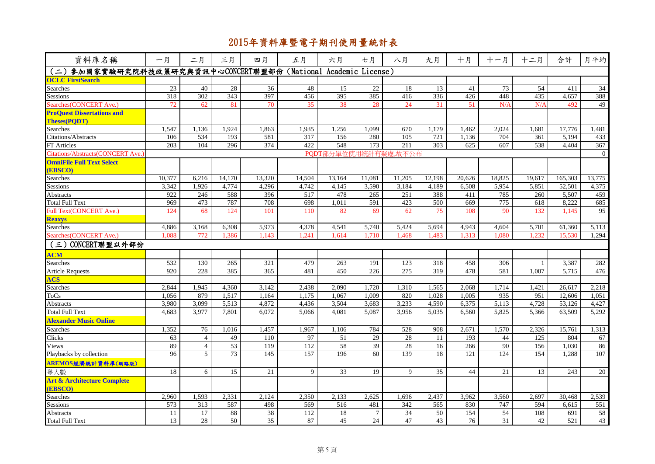| 資料庫名稱                                                         | 一月              | 二月             | 三月              | 四月              | 五月     | 六月                   | 七月              | 八月     | 九月              | 十月              | 十一月             | 十二月    | 合計      | 月平均             |
|---------------------------------------------------------------|-----------------|----------------|-----------------|-----------------|--------|----------------------|-----------------|--------|-----------------|-----------------|-----------------|--------|---------|-----------------|
| (二)参加國家實驗研究院科技政策研究與資訊中心CONCERT聯盟部份(National Academic License) |                 |                |                 |                 |        |                      |                 |        |                 |                 |                 |        |         |                 |
| <b>OCLC FirstSearch</b>                                       |                 |                |                 |                 |        |                      |                 |        |                 |                 |                 |        |         |                 |
| Searches                                                      | 23              | 40             | 28              | 36              | 48     | 15                   | 22              | 18     | 13              | 41              | 73              | 54     | 411     | $\overline{34}$ |
| <b>Sessions</b>                                               | 318             | 302            | 343             | 397             | 456    | 395                  | 385             | 416    | 336             | 426             | 448             | 435    | 4.657   | 388             |
| Searches(CONCERT Ave.)                                        | 72              | 62             | 81              | 70              | 35     | 38                   | 28              | 24     | 31              | 51              | N/A             | N/A    | 492     | 49              |
| <b>ProQuest Dissertations and</b>                             |                 |                |                 |                 |        |                      |                 |        |                 |                 |                 |        |         |                 |
| <b>Theses(PODT)</b>                                           |                 |                |                 |                 |        |                      |                 |        |                 |                 |                 |        |         |                 |
| Searches                                                      | 1.547           | 1.136          | 1,924           | 1.863           | 1,935  | 1,256                | 1.099           | 670    | 1.179           | 1.462           | 2,024           | 1.681  | 17.776  | 1,481           |
| Citations/Abstracts                                           | 106             | 534            | 193             | 581             | 317    | 156                  | 280             | 105    | 721             | 1,136           | 704             | 361    | 5,194   | 433             |
| <b>FT</b> Articles                                            | 203             | 104            | 296             | 374             | 422    | 548                  | 173             | 211    | 303             | 625             | 607             | 538    | 4.404   | 367             |
| Citations/Abstracts(CONCERT Ave.)                             |                 |                |                 |                 |        | PQDT部分單位使用統計有疑慮,故不公布 |                 |        |                 |                 |                 |        |         | $\overline{0}$  |
| <b>OmniFile Full Text Select</b>                              |                 |                |                 |                 |        |                      |                 |        |                 |                 |                 |        |         |                 |
| (EBSCO)                                                       |                 |                |                 |                 |        |                      |                 |        |                 |                 |                 |        |         |                 |
| Searches                                                      | 10,377          | 6,216          | 14,170          | 13,320          | 14,504 | 13,164               | 11,081          | 11,205 | 12,198          | 20,626          | 18,825          | 19,617 | 165,303 | 13,775          |
| Sessions                                                      | 3,342           | 1.926          | 4,774           | 4,296           | 4,742  | 4.145                | 3,590           | 3,184  | 4.189           | 6,508           | 5,954           | 5,851  | 52,501  | 4,375           |
| Abstracts                                                     | 922             | 246            | 588             | 396             | 517    | 478                  | 265             | 251    | 388             | 411             | 785             | 260    | 5,507   | 459             |
| <b>Total Full Text</b>                                        | 969             | 473            | 787             | 708             | 698    | 1,011                | 591             | 423    | 500             | 669             | 775             | 618    | 8,222   | 685             |
| Full Text(CONCERT Ave.)                                       | 124             | 68             | 124             | 101             | 110    | 82                   | 69              | 62     | 75              | 108             | 90              | 132    | 1.145   | 95              |
| <b>Reaxys</b>                                                 |                 |                |                 |                 |        |                      |                 |        |                 |                 |                 |        |         |                 |
| Searches                                                      | 4,886           | 3,168          | 6,308           | 5,973           | 4,378  | 4,541                | 5,740           | 5,424  | 5,694           | 4,943           | 4,604           | 5,701  | 61,360  | 5,113           |
| Searches (CONCERT Ave.)                                       | 1.088           | 772            | 1.386           | 1.143           | 1.241  | 1.614                | 1.710           | 1.468  | 1.483           | 1.313           | 1.080           | 1.232  | 15.530  | 1.294           |
| (三) CONCERT聯盟以外部份                                             |                 |                |                 |                 |        |                      |                 |        |                 |                 |                 |        |         |                 |
| <b>ACM</b>                                                    |                 |                |                 |                 |        |                      |                 |        |                 |                 |                 |        |         |                 |
| Searches                                                      | 532             | 130            | 265             | 321             | 479    | 263                  | 191             | 123    | 318             | 458             | 306             |        | 3,387   | 282             |
| <b>Article Requests</b>                                       | 920             | 228            | 385             | 365             | 481    | 450                  | 226             | 275    | 319             | 478             | 581             | 1,007  | 5,715   | 476             |
| <b>ACS</b>                                                    |                 |                |                 |                 |        |                      |                 |        |                 |                 |                 |        |         |                 |
| Searches                                                      | 2,844           | 1,945          | 4,360           | 3,142           | 2,438  | 2,090                | 1,720           | 1,310  | 1,565           | 2,068           | 1,714           | 1,421  | 26,617  | 2,218           |
| <b>ToCs</b>                                                   | 1,056           | 879            | 1,517           | 1,164           | 1,175  | 1.067                | 1.009           | 820    | 1.028           | 1.005           | 935             | 951    | 12,606  | 1,051           |
| Abstracts                                                     | 3,980           | 3,099          | 5,513           | 4,872           | 4,436  | 3,504                | 3,683           | 3,233  | 4,590           | 6,375           | 5,113           | 4,728  | 53,126  | 4,427           |
| <b>Total Full Text</b>                                        | 4.683           | 3,977          | 7.801           | 6.072           | 5,066  | 4.081                | 5.087           | 3.956  | 5.035           | 6.560           | 5,825           | 5,366  | 63,509  | 5,292           |
| <b>Alexander Music Online</b>                                 |                 |                |                 |                 |        |                      |                 |        |                 |                 |                 |        |         |                 |
| Searches                                                      | 1,352           | 76             | 1,016           | 1,457           | 1,967  | 1,106                | 784             | 528    | 908             | 2,671           | 1,570           | 2,326  | 15,761  | 1,313           |
| Clicks                                                        | 63              | $\overline{4}$ | 49              | 110             | 97     | 51                   | 29              | 28     | 11              | 193             | 44              | 125    | 804     | 67              |
| Views                                                         | 89              | $\overline{4}$ | $\overline{53}$ | 119             | 112    | 58                   | $\overline{39}$ | 28     | 16              | 266             | 90              | 156    | 1,030   | 86              |
| Playbacks by collection                                       | 96              | 5 <sup>5</sup> | $\overline{73}$ | 145             | 157    | 196                  | 60              | 139    | 18              | 121             | 124             | 154    | 1,288   | 107             |
| AREMOS經濟統計資料庫(網路版)                                            |                 |                |                 |                 |        |                      |                 |        |                 |                 |                 |        |         |                 |
| 登入數                                                           | 18              | 6              | 15              | 21              | 9      | 33                   | 19              | 9      | $\overline{35}$ | 44              | 21              | 13     | 243     | 20              |
| <b>Art &amp; Architecture Complete</b>                        |                 |                |                 |                 |        |                      |                 |        |                 |                 |                 |        |         |                 |
| (EBSCO)                                                       |                 |                |                 |                 |        |                      |                 |        |                 |                 |                 |        |         |                 |
| <b>Searches</b>                                               | 2,960           | 1.593          | 2,331           | 2,124           | 2,350  | 2,133                | 2,625           | 1.696  | 2,437           | 3,962           | 3,560           | 2,697  | 30,468  | 2,539           |
| Sessions                                                      | 573             | 313            | 587             | 498             | 569    | 516                  | 481             | 342    | 565             | 830             | 747             | 594    | 6,615   | 551             |
| Abstracts                                                     | 11              | 17             | 88              | 38              | 112    | 18                   | $\tau$          | 34     | 50              | 154             | 54              | 108    | 691     | 58              |
| <b>Total Full Text</b>                                        | $\overline{13}$ | 28             | 50              | $\overline{35}$ | 87     | 45                   | 24              | 47     | 43              | $\overline{76}$ | $\overline{31}$ | 42     | 521     | 43              |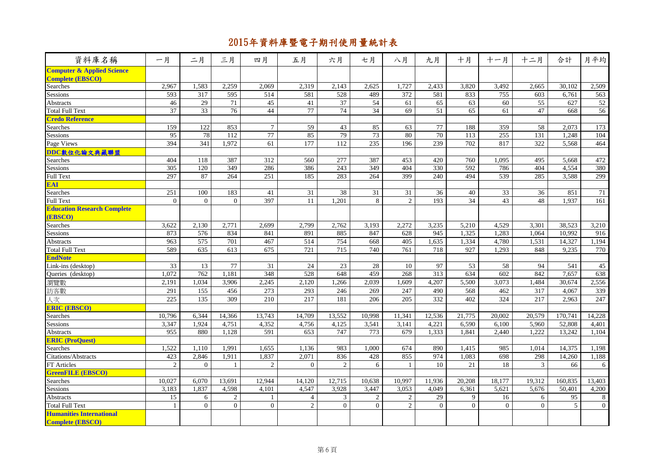| 資料庫名稱                                                            | 一月              | 二月             | 三月             | 四月               | 五月              | 六月             | 七月              | 八月               | 九月              | 十月             | 十一月             | 十二月            | 合計              | 月平均             |
|------------------------------------------------------------------|-----------------|----------------|----------------|------------------|-----------------|----------------|-----------------|------------------|-----------------|----------------|-----------------|----------------|-----------------|-----------------|
| <b>Computer &amp; Applied Science</b><br><b>Complete (EBSCO)</b> |                 |                |                |                  |                 |                |                 |                  |                 |                |                 |                |                 |                 |
| <b>Searches</b>                                                  | 2,967           | 1,583          | 2,259          | 2,069            | 2,319           | 2,143          | 2,625           | 1,727            | 2,433           | 3,820          | 3,492           | 2,665          | 30,102          | 2,509           |
| Sessions                                                         | 593             | 317            | 595            | 514              | 581             | 528            | 489             | $\overline{372}$ | 581             | 833            | 755             | 603            | 6,761           | 563             |
| Abstracts                                                        | 46              | 29             | 71             | 45               | 41              | 37             | 54              | 61               | 65              | 63             | 60              | 55             | 627             | 52              |
| <b>Total Full Text</b>                                           | $\overline{37}$ | 33             | 76             | 44               | 77              | 74             | $\overline{34}$ | 69               | 51              | 65             | 61              | 47             | 668             | 56              |
| <b>Credo Reference</b>                                           |                 |                |                |                  |                 |                |                 |                  |                 |                |                 |                |                 |                 |
| Searches                                                         | 159             | 122            | 853            | $\overline{7}$   | 59              | 43             | 85              | 63               | 77              | 188            | 359             | 58             | 2,073           | 173             |
| <b>Sessions</b>                                                  | 95              | 78             | 112            | 77               | 85              | 79             | 73              | 80               | 70              | 113            | 255             | 131            | 1,248           | 104             |
| Page Views                                                       | 394             | 341            | 1,972          | 61               | 177             | 112            | 235             | 196              | 239             | 702            | 817             | 322            | 5,568           | 464             |
| DDC數位化論文典藏聯盟                                                     |                 |                |                |                  |                 |                |                 |                  |                 |                |                 |                |                 |                 |
| Searches                                                         | 404             | 118            | 387            | 312              | 560             | 277            | 387             | 453              | 420             | 760            | 1,095           | 495            | 5,668           | 472             |
| Sessions                                                         | 305             | 120            | 349            | 286              | 386             | 243            | 349             | 404              | 330             | 592            | 786             | 404            | 4.554           | 380             |
| <b>Full Text</b>                                                 | 297             | 87             | 264            | 251              | 185             | 283            | 264             | 399              | 240             | 494            | 539             | 285            | 3,588           | 299             |
| <b>EAI</b>                                                       |                 |                |                |                  |                 |                |                 |                  |                 |                |                 |                |                 |                 |
| Searches                                                         | 251             | 100            | 183            | 41               | $\overline{31}$ | 38             | 31              | $\overline{31}$  | $\overline{36}$ | 40             | $\overline{33}$ | 36             | 851             | $\overline{71}$ |
| <b>Full Text</b>                                                 | $\mathbf{0}$    | $\Omega$       | $\theta$       | 397              | 11              | 1,201          | 8               | $\overline{2}$   | 193             | 34             | 43              | 48             | 1,937           | 161             |
| <b>Education Research Complete</b>                               |                 |                |                |                  |                 |                |                 |                  |                 |                |                 |                |                 |                 |
| <b>(EBSCO)</b>                                                   |                 |                |                |                  |                 |                |                 |                  |                 |                |                 |                |                 |                 |
| Searches                                                         | 3,622           | 2,130          | 2,771          | 2,699            | 2,799           | 2,762          | 3,193           | 2,272            | 3,235           | 5,210          | 4,529           | 3,301          | 38,523          | 3,210           |
| Sessions                                                         | 873             | 576            | 834            | 841              | 891             | 885            | 847             | 628              | 945             | 1,325          | 1,283           | 1,064          | 10,992          | 916             |
| <b>Abstracts</b>                                                 | 963             | 575            | 701            | 467              | 514             | 754            | 668             | 405              | 1,635           | 1,334          | 4,780           | 1,531          | 14,327          | 1,194           |
| <b>Total Full Text</b>                                           | 589             | 635            | 613            | 675              | 721             | 715            | 740             | 761              | 718             | 927            | 1,293           | 848            | 9,235           | 770             |
| <b>EndNote</b>                                                   |                 |                |                |                  |                 |                |                 |                  |                 |                |                 |                |                 |                 |
| Link-ins (desktop)                                               | 33              | 13             | 77             | 31               | $\overline{24}$ | 23             | 28              | 10               | 97              | 53             | 58              | 94             | 541             | 45              |
| Queries (desktop)                                                | 1,072           | 762            | 1,181          | 348              | 528             | 648            | 459             | 268              | 313             | 634            | 602             | 842            | 7,657           | 638             |
| 瀏覽數                                                              | 2,191           | 1,034          | 3,906          | 2,245            | 2,120           | 1,266          | 2,039           | 1,609            | 4,207           | 5,500          | 3,073           | 1,484          | 30,674          | 2,556           |
| 訪客數                                                              | 291             | 155            | 456            | 273              | 293             | 246            | 269             | 247              | 490             | 568            | 462             | 317            | 4.067           | 339             |
| 人次                                                               | 225             | 135            | 309            | 210              | 217             | 181            | 206             | 205              | 332             | 402            | 324             | 217            | 2.963           | 247             |
| <b>ERIC (EBSCO)</b>                                              |                 |                |                |                  |                 |                |                 |                  |                 |                |                 |                |                 |                 |
| Searches                                                         | 10,796          | 6,344          | 14,366         | 13,743           | 14,709          | 13,552         | 10,998          | 11,341           | 12,536          | 21,775         | 20,002          | 20,579         | 170,741         | 14,228          |
| Sessions                                                         | 3,347           | 1,924          | 4,751          | 4,352            | 4,756           | 4,125          | 3,541           | 3,141            | 4,221           | 6,590          | 6,100           | 5,960          | 52,808          | 4,401           |
| <b>Abstracts</b>                                                 | 955             | 880            | 1,128          | 591              | 653             | 747            | 773             | 679              | 1,333           | 1,841          | 2,440           | 1,222          | 13,242          | 1,104           |
| <b>ERIC (ProQuest)</b>                                           |                 |                |                |                  |                 |                |                 |                  |                 |                |                 |                |                 |                 |
| Searches                                                         | 1,522           | 1,110          | 1,991          | 1,655            | 1,136           | 983            | 1,000           | 674              | 890             | 1,415          | 985             | 1,014          | 14,375          | 1,198           |
| Citations/Abstracts                                              | 423             | 2,846          | 1,911          | 1,837            | 2,071           | 836            | 428             | 855              | 974             | 1,083          | 698             | 298            | 14,260          | 1,188           |
| FT Articles                                                      | 2               | $\Omega$       | $\mathbf{1}$   | $\sqrt{2}$       | $\overline{0}$  | $\overline{2}$ | 6               | $\mathbf{1}$     | 10              | 21             | 18              | 3              | 66              | 6               |
| <b>GreenFILE (EBSCO)</b>                                         |                 |                |                |                  |                 |                |                 |                  |                 |                |                 |                |                 |                 |
| Searches                                                         | 10,027          | 6,070          | 13,691         | 12,944           | 14,120          | 12,715         | 10,638          | 10,997           | 11,936          | 20,208         | 18,177          | 19,312         | 160,835         | 13,403          |
| Sessions                                                         | 3,183           | 1,837          | 4,598          | 4,101            | 4,547           | 3,928          | 3,447           | 3,053            | 4,049           | 6,361          | 5,621           | 5,676          | 50,401          | 4,200           |
| Abstracts                                                        | 15              | 6              | $\sqrt{2}$     | $\mathbf{1}$     | $\overline{4}$  | 3              | $\overline{c}$  | $\overline{c}$   | 29              | 9              | 16              | 6              | $\overline{95}$ | 8               |
| <b>Total Full Text</b>                                           | $\mathbf{1}$    | $\overline{0}$ | $\overline{0}$ | $\boldsymbol{0}$ | $\overline{2}$  | $\theta$       | $\overline{0}$  | $\overline{2}$   | $\overline{0}$  | $\overline{0}$ | $\overline{0}$  | $\overline{0}$ | 5 <sup>5</sup>  | $\overline{0}$  |
| <b>Humanities International</b>                                  |                 |                |                |                  |                 |                |                 |                  |                 |                |                 |                |                 |                 |
| <b>Complete (EBSCO)</b>                                          |                 |                |                |                  |                 |                |                 |                  |                 |                |                 |                |                 |                 |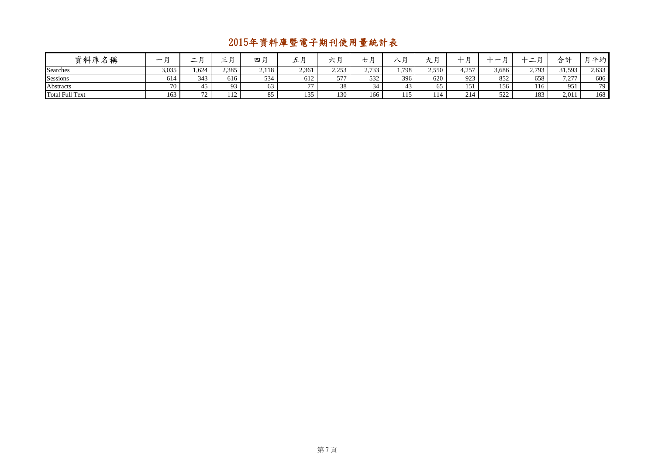| 資料庫名稱                  | $\overline{\phantom{0}}$ | - 12<br>$\overline{\phantom{0}}$ | $-$ n<br>$\overline{\phantom{0}}$ | 四月    | 五月           | 上尸<br>ハカ         | . ب                 | $\sim$ / $\sim$ | n<br>ルス | $\blacksquare$ | –             | $\overline{\phantom{a}}$<br>$\overline{\phantom{0}}$<br>- | 合計                                         | 平均    |
|------------------------|--------------------------|----------------------------------|-----------------------------------|-------|--------------|------------------|---------------------|-----------------|---------|----------------|---------------|-----------------------------------------------------------|--------------------------------------------|-------|
| Searches               | 3,035                    | 1,624                            | 2,385                             | 2,118 | 2,361        | 2.252<br>ر رے یہ | 2733<br>ر د ، ، ، ، | 1,798           | 2,550   | 4,257          | 3,686         | 2.793<br>2,173                                            | 31,593                                     | 2,633 |
| Sessions               | 614                      | 343                              | 616                               | 534   | 612          | 577              | 532                 | 396             | 620     | 923            | 852           | 658                                                       | 7 277<br>$\overline{1}$ , $\overline{2}$ , | 606   |
| Abstracts              | 70                       | 45                               | 02                                |       | 77           | 38               | 34                  | 43              | 65      | 151            | 156           | 116                                                       | 951                                        | 79    |
| <b>Total Full Text</b> | 163                      | 72                               | 112                               |       | 135<br>1 J J | 130              | 166                 | 115             | 114     | 214            | 500<br>ے بے ب | 183                                                       | 2,011                                      | 168   |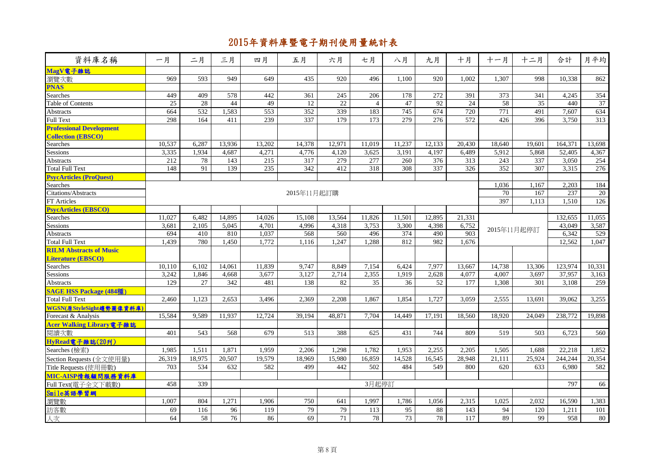| 資料庫名稱                           | 一月              | 二月              | 三月     | 四月     | 五月          | 六月              | 七月             | 八月              | 九月               | 十月     | 十一月    | 十二月             | 合計      | 月平均    |
|---------------------------------|-----------------|-----------------|--------|--------|-------------|-----------------|----------------|-----------------|------------------|--------|--------|-----------------|---------|--------|
| MagV電子雜誌                        |                 |                 |        |        |             |                 |                |                 |                  |        |        |                 |         |        |
| 瀏覽次數                            | 969             | 593             | 949    | 649    | 435         | 920             | 496            | 1,100           | 920              | 1,002  | 1,307  | 998             | 10,338  | 862    |
| <b>PNAS</b>                     |                 |                 |        |        |             |                 |                |                 |                  |        |        |                 |         |        |
| Searches                        | 449             | 409             | 578    | 442    | 361         | 245             | 206            | 178             | $\overline{272}$ | 391    | 373    | 341             | 4.245   | 354    |
| Table of Contents               | $\overline{25}$ | 28              | 44     | 49     | 12          | $\overline{22}$ | $\overline{4}$ | 47              | $\overline{92}$  | 24     | 58     | $\overline{35}$ | 440     | 37     |
| Abstracts                       | 664             | 532             | 1,583  | 553    | 352         | 339             | 183            | 745             | 674              | 720    | 771    | 491             | 7,607   | 634    |
| <b>Full Text</b>                | 298             | 164             | 411    | 239    | 337         | 179             | 173            | 279             | 276              | 572    | 426    | 396             | 3,750   | 313    |
| <b>Professional Development</b> |                 |                 |        |        |             |                 |                |                 |                  |        |        |                 |         |        |
| <b>Collection (EBSCO)</b>       |                 |                 |        |        |             |                 |                |                 |                  |        |        |                 |         |        |
| Searches                        | 10,537          | 6,287           | 13,936 | 13,202 | 14,378      | 12,971          | 11,019         | 11,237          | 12,133           | 20,430 | 18,640 | 19,601          | 164,371 | 13,698 |
| Sessions                        | 3,335           | 1,934           | 4,687  | 4,271  | 4,776       | 4,120           | 3,625          | 3,191           | 4,197            | 6,489  | 5,912  | 5,868           | 52,405  | 4,367  |
| Abstracts                       | 212             | 78              | 143    | 215    | 317         | 279             | 277            | 260             | 376              | 313    | 243    | 337             | 3,050   | 254    |
| <b>Total Full Text</b>          | 148             | 91              | 139    | 235    | 342         | 412             | 318            | 308             | 337              | 326    | 352    | 307             | 3,315   | 276    |
| <b>PsycArticles (ProQuest)</b>  |                 |                 |        |        |             |                 |                |                 |                  |        |        |                 |         |        |
| <b>Searches</b>                 |                 |                 |        |        |             |                 |                |                 |                  |        | 1,036  | 1,167           | 2,203   | 184    |
| Citations/Abstracts             |                 |                 |        |        | 2015年11月起訂購 |                 |                |                 |                  |        | 70     | 167             | 237     | 20     |
| FT Articles                     |                 |                 |        |        |             |                 |                |                 |                  |        | 397    | 1.113           | 1,510   | 126    |
| <b>PsycArticles (EBSCO)</b>     |                 |                 |        |        |             |                 |                |                 |                  |        |        |                 |         |        |
| Searches                        | 11,027          | 6,482           | 14,895 | 14,026 | 15,108      | 13,564          | 11,826         | 11,501          | 12,895           | 21,331 |        |                 | 132,655 | 11,055 |
| Sessions                        | 3,681           | 2,105           | 5,045  | 4,701  | 4,996       | 4,318           | 3,753          | 3,300           | 4,398            | 6,752  |        | 2015年11月起停訂     | 43,049  | 3,587  |
| Abstracts                       | 694             | 410             | 810    | 1,037  | 568         | 560             | 496            | 374             | 490              | 903    |        |                 | 6,342   | 529    |
| <b>Total Full Text</b>          | 1,439           | 780             | 1,450  | 1,772  | 1,116       | 1,247           | 1,288          | 812             | 982              | 1,676  |        |                 | 12.562  | 1.047  |
| <b>RILM Abstracts of Music</b>  |                 |                 |        |        |             |                 |                |                 |                  |        |        |                 |         |        |
| <b>Literature (EBSCO)</b>       |                 |                 |        |        |             |                 |                |                 |                  |        |        |                 |         |        |
| Searches                        | 10,110          | 6,102           | 14,061 | 11,839 | 9,747       | 8,849           | 7,154          | 6,424           | 7,977            | 13,667 | 14,738 | 13,306          | 123,974 | 10,331 |
| Sessions                        | 3,242           | 1.846           | 4,668  | 3,677  | 3,127       | 2.714           | 2.355          | 1.919           | 2.628            | 4.077  | 4,007  | 3,697           | 37,957  | 3,163  |
| Abstracts                       | 129             | $\overline{27}$ | 342    | 481    | 138         | 82              | 35             | 36              | $\overline{52}$  | 177    | 1,308  | 301             | 3,108   | 259    |
| <b>SAGE HSS Package (484種)</b>  |                 |                 |        |        |             |                 |                |                 |                  |        |        |                 |         |        |
| <b>Total Full Text</b>          | 2.460           | 1.123           | 2,653  | 3,496  | 2,369       | 2.208           | 1.867          | 1.854           | 1,727            | 3.059  | 2,555  | 13.691          | 39,062  | 3,255  |
| WGSN(原StyleSight趨勢圖像資料庫)        |                 |                 |        |        |             |                 |                |                 |                  |        |        |                 |         |        |
| Forecast & Analysis             | 15,584          | 9.589           | 11,937 | 12,724 | 39,194      | 48,871          | 7.704          | 14.449          | 17.191           | 18.560 | 18,920 | 24.049          | 238,772 | 19.898 |
| Acer Walking Library 電子雜誌       |                 |                 |        |        |             |                 |                |                 |                  |        |        |                 |         |        |
| 閱讀次數                            | 401             | 543             | 568    | 679    | 513         | 388             | 625            | 431             | 744              | 809    | 519    | 503             | 6,723   | 560    |
| HyRead電子雜誌(20刊)                 |                 |                 |        |        |             |                 |                |                 |                  |        |        |                 |         |        |
| Searches (檢索)                   | 1,985           | 1,511           | 1,871  | 1,959  | 2,206       | 1,298           | 1,782          | 1,953           | 2,255            | 2,205  | 1,505  | 1,688           | 22,218  | 1,852  |
| Section Requests (全文使用量)        | 26,319          | 18.975          | 20.507 | 19.579 | 18,969      | 15.980          | 16.859         | 14.528          | 16.545           | 28.948 | 21.111 | 25.924          | 244,244 | 20,354 |
| Title Requests (使用冊數)           | 703             | 534             | 632    | 582    | 499         | 442             | 502            | 484             | 549              | 800    | 620    | 633             | 6,980   | 582    |
| MIC-AISP情報顧問服務資料庫               |                 |                 |        |        |             |                 |                |                 |                  |        |        |                 |         |        |
| Full Text(電子全文下載數)              | 458             | 339             |        |        |             |                 | 3月起停訂          |                 |                  |        |        |                 | 797     | 66     |
| Smile英語學習網                      |                 |                 |        |        |             |                 |                |                 |                  |        |        |                 |         |        |
| 瀏覽數                             | 1,007           | 804             | 1,271  | 1,906  | 750         | 641             | 1.997          | 1,786           | 1,056            | 2,315  | 1,025  | 2.032           | 16,590  | 1,383  |
| 訪客數                             | 69              | 116             | 96     | 119    | 79          | 79              | 113            | 95              | 88               | 143    | 94     | 120             | 1,211   | 101    |
|                                 |                 | 58              |        |        |             |                 | 78             | $\overline{73}$ | 78               |        |        | 99              | 958     |        |
| 人次                              | 64              |                 | 76     | 86     | 69          | 71              |                |                 |                  | 117    | 89     |                 |         | 80     |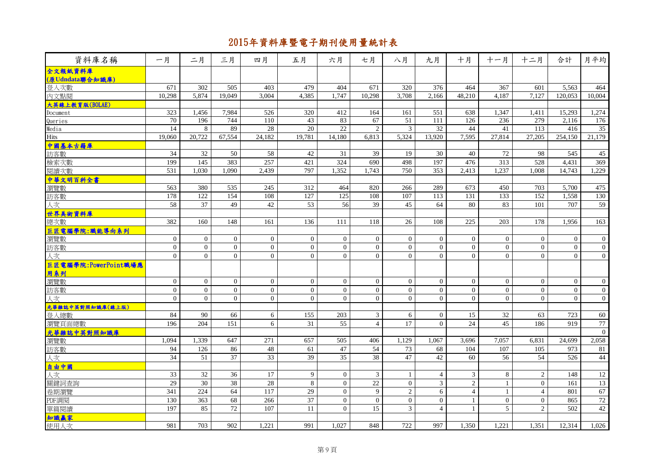| 資料庫名稱                        | 一月               | 二月              | 三月               | 四月               | 五月               | 六月               | 七月               | 八月             | 九月               | 十月                      | 十一月              | 十二月            | 合計             | 月平均              |
|------------------------------|------------------|-----------------|------------------|------------------|------------------|------------------|------------------|----------------|------------------|-------------------------|------------------|----------------|----------------|------------------|
| 全文報紙資料庫                      |                  |                 |                  |                  |                  |                  |                  |                |                  |                         |                  |                |                |                  |
| (原Udndata聯合知識庫)              |                  |                 |                  |                  |                  |                  |                  |                |                  |                         |                  |                |                |                  |
| 登入次數<br>内文點閱                 | 671              | 302             | 505              | 403              | 479              | 404              | 671              | 320            | 376              | 464                     | 367              | 601            | 5,563          | 464              |
|                              | 10,298           | 5,874           | 19,049           | 3,004            | 4,385            | 1,747            | 10,298           | 3,708          | 2,166            | 48,210                  | 4,187            | 7,127          | 120,053        | 10,004           |
| 大英線上教育版(BOLAE)               |                  |                 |                  |                  |                  |                  |                  |                |                  |                         |                  |                |                |                  |
| Document                     | 323              | 1,456           | 7,984            | 526              | 320              | 412              | 164              | 161            | $\overline{551}$ | 638                     | 1,347            | 1,411          | 15,293         | 1,274            |
| Queries                      | 70               | 196             | 744              | 110              | 43               | 83               | 67               | 51             | 111              | 126                     | 236              | 279            | 2,116          | 176              |
| Media                        | 14               | 8               | 89               | 28               | 20               | 22               | 2                | $\overline{3}$ | 32               | 44                      | 41               | 113            | 416            | 35               |
| Hits                         | 19,060           | 20,722          | 67,554           | 24,182           | 19,781           | 14,180           | 6,813            | 5,324          | 13,920           | 7,595                   | 27,814           | 27,205         | 254,150        | 21,179           |
| 中國基本古籍庫                      |                  |                 |                  |                  |                  |                  |                  |                |                  |                         |                  |                |                |                  |
| 訪客數                          | 34               | 32              | 50               | 58               | 42               | 31               | 39               | 19             | 30               | 40                      | 72               | 98             | 545            | 45               |
| 檢索次數                         | 199              | $\frac{145}{2}$ | 383              | 257              | 421              | 324              | 690              | 498            | 197              | 476                     | 313              | 528            | 4,431          | 369              |
| 閱讀次數                         | 531              | 1,030           | 1,090            | 2,439            | 797              | 1,352            | 1,743            | 750            | 353              | 2,413                   | 1,237            | 1,008          | 14,743         | 1,229            |
| <mark>中華文明百科全書</mark><br>瀏覽數 |                  |                 |                  |                  |                  |                  |                  |                |                  |                         |                  |                |                |                  |
|                              | 563              | 380             | 535              | 245              | 312              | 464              | 820              | 266            | 289              | 673                     | 450              | 703            | 5,700          | 475              |
| 訪客數                          | 178              | 122             | 154              | 108              | 127              | 125              | 108              | 107            | 113              | 131                     | 133              | 152            | 1,558          | 130              |
| 人次                           | 58               | 37              | 49               | 42               | 53               | 56               | 39               | 45             | 64               | 80                      | 83               | 101            | 707            | 59               |
| 世界美術資料庫                      |                  |                 |                  |                  |                  |                  |                  |                |                  |                         |                  |                |                |                  |
| 總次數                          | 382              | 160             | 148              | 161              | 136              | 111              | 118              | 26             | 108              | 225                     | 203              | 178            | 1,956          | 163              |
| 巨匠電腦學院:職能導向系列                |                  |                 |                  |                  |                  |                  |                  |                |                  |                         |                  |                |                |                  |
| 瀏覽數                          | $\overline{0}$   | $\Omega$        | $\overline{0}$   | $\overline{0}$   | $\mathbf{0}$     | $\mathbf{0}$     | $\overline{0}$   | $\Omega$       | $\overline{0}$   | $\overline{0}$          | $\Omega$         | $\overline{0}$ | $\theta$       | $\boldsymbol{0}$ |
| 訪客數                          | $\boldsymbol{0}$ | $\overline{0}$  | $\overline{0}$   | $\boldsymbol{0}$ | $\mathbf{0}$     | $\boldsymbol{0}$ | $\boldsymbol{0}$ | $\overline{0}$ | $\overline{0}$   | $\mathbf{0}$            | $\boldsymbol{0}$ | $\overline{0}$ | $\mathbf{0}$   | $\boldsymbol{0}$ |
| 人次                           | $\overline{0}$   | $\overline{0}$  | $\overline{0}$   | $\overline{0}$   | $\mathbf{0}$     | $\mathbf{0}$     | $\overline{0}$   | $\overline{0}$ | $\mathbf{0}$     | $\overline{0}$          | $\overline{0}$   | $\overline{0}$ | $\mathbf{0}$   | $\boldsymbol{0}$ |
| 巨匠電腦學院:PowerPoint職場應         |                  |                 |                  |                  |                  |                  |                  |                |                  |                         |                  |                |                |                  |
| 用系列                          |                  |                 |                  |                  |                  |                  |                  |                |                  |                         |                  |                |                |                  |
| 瀏覽數                          | $\overline{0}$   | $\overline{0}$  | $\overline{0}$   | $\overline{0}$   | $\overline{0}$   | $\overline{0}$   | $\overline{0}$   | $\overline{0}$ | $\overline{0}$   | $\overline{0}$          | $\overline{0}$   | $\overline{0}$ | $\overline{0}$ | $\boldsymbol{0}$ |
| 訪客數                          | $\boldsymbol{0}$ | $\overline{0}$  | $\boldsymbol{0}$ | $\overline{0}$   | $\boldsymbol{0}$ | $\boldsymbol{0}$ | $\boldsymbol{0}$ | $\overline{0}$ | $\overline{0}$   | $\mathbf{0}$            | $\overline{0}$   | $\overline{0}$ | $\mathbf{0}$   | $\boldsymbol{0}$ |
| 人次                           | $\overline{0}$   | $\Omega$        | $\overline{0}$   | $\overline{0}$   | $\overline{0}$   | $\Omega$         | $\overline{0}$   | $\overline{0}$ | $\overline{0}$   | $\theta$                | $\Omega$         | $\overline{0}$ | $\theta$       | $\mathbf{0}$     |
| 光華雜誌中英對照知識庫(線上版)             |                  |                 |                  |                  |                  |                  |                  |                |                  |                         |                  |                |                |                  |
| 登入總數                         | 84               | 90              | 66               | 6                | 155              | 203              | 3                | 6              | $\overline{0}$   | 15                      | 32               | 63             | 723            | 60               |
| 瀏覽頁面總數                       | 196              | 204             | 151              | 6                | 31               | 55               | $\overline{4}$   | 17             | $\theta$         | 24                      | 45               | 186            | 919            | 77               |
| 光華雜誌中英對照知識庫                  |                  |                 |                  |                  |                  |                  |                  |                |                  |                         |                  |                |                | $\mathbf{0}$     |
| 瀏覽數                          | 1,094            | 1,339           | 647              | 271              | 657              | 505              | 406              | 1,129          | 1,067            | 3,696                   | 7,057            | 6,831          | 24,699         | 2,058            |
| 訪客數                          | 94               | 126             | 86               | 48               | 61               | 47               | 54               | 73             | 68               | 104                     | 107              | 105            | 973            | 81               |
| 文人                           | 34               | 51              | 37               | $\overline{33}$  | 39               | $\overline{35}$  | 38               | 47             | 42               | 60                      | 56               | 54             | 526            | 44               |
| 自由中國                         |                  |                 |                  |                  |                  |                  |                  |                |                  |                         |                  |                |                |                  |
| 人次                           | 33               | 32              | 36               | 17               | 9                | $\mathbf{0}$     | $\mathfrak{Z}$   | 1              | $\overline{4}$   | 3                       | 8                | $\overline{c}$ | 148            | 12               |
| 關鍵詞查詢                        | 29               | $\overline{30}$ | 38               | 28               | $\,8\,$          | $\mathbf{0}$     | 22               | $0\,$          | $\mathfrak{Z}$   | $\sqrt{2}$              | $\mathbf{1}$     | $\mathbf{0}$   | 161            | 13               |
| 卷期瀏覽                         | 341              | 224             | 64               | 117              | 29               | $\mathbf{0}$     | $\overline{9}$   | $\overline{2}$ | $\overline{6}$   | $\overline{4}$          | $\mathbf{1}$     | $\overline{4}$ | 801            | 67               |
| PDF調閱                        | 130              | 363             | 68               | 266              | 37               | $\overline{0}$   | $\boldsymbol{0}$ | $\overline{0}$ | $\overline{0}$   | $\mathbf{1}$            | $\overline{0}$   | $\mathbf{0}$   | 865            | $72\,$           |
| 單篇閱讀                         | 197              | 85              | 72               | 107              | 11               | $\Omega$         | 15               | $\overline{3}$ | $\overline{4}$   | $\overline{\mathbf{1}}$ | 5 <sup>5</sup>   | $\overline{2}$ | 502            | 42               |
|                              |                  |                 |                  |                  |                  |                  |                  |                |                  |                         |                  |                |                |                  |
| 知識赢家                         | 981              | 703             | 902              | 1,221            | 991              | 1,027            | 848              | 722            | 997              | 1,350                   | 1,221            | 1,351          | 12,314         | 1,026            |
|                              |                  |                 |                  |                  |                  |                  |                  |                |                  |                         |                  |                |                |                  |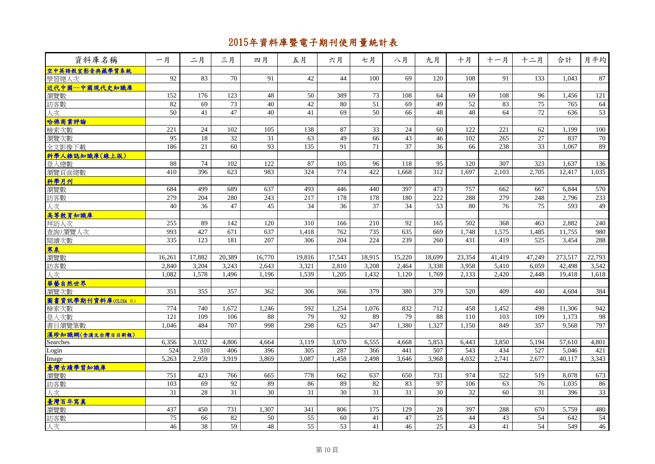| 資料庫名稱                  | 一月     | 二月     | 三月     | 四月              | 五月              | 六月     | 七月              | 八月              | 九月               | 十月              | 十一月    | 十二月    | 合計      | 月平均    |
|------------------------|--------|--------|--------|-----------------|-----------------|--------|-----------------|-----------------|------------------|-----------------|--------|--------|---------|--------|
| 空中英語教室影音典藏學習系統         |        |        |        |                 |                 |        |                 |                 |                  |                 |        |        |         |        |
| 學習總人次                  | 92     | 83     | 70     | 91              | 42              | 44     | 100             | 69              | 120              | 108             | 91     | 133    | 1.043   | 87     |
| 近代中國一中國現代史知識庫          |        |        |        |                 |                 |        |                 |                 |                  |                 |        |        |         |        |
| 瀏覽數                    | 152    | 176    | 123    | 48              | 50              | 389    | $\overline{73}$ | 108             | 64               | 69              | 108    | 96     | 1,456   | 121    |
| 訪客數                    | 82     | 69     | 73     | 40              | 42              | 80     | 51              | 69              | 49               | 52              | 83     | 75     | 765     | 64     |
| 人次                     | 50     | 41     | 47     | 40              | 41              | 69     | 50              | 66              | 48               | 48              | 64     | 72     | 636     | 53     |
| 哈佛商業評論                 |        |        |        |                 |                 |        |                 |                 |                  |                 |        |        |         |        |
| 檢索次數                   | 221    | 24     | 102    | 105             | 138             | 87     | 33              | 24              | 60               | 122             | 221    | 62     | 1.199   | 100    |
| 瀏覽次數                   | 95     | 18     | 32     | 31              | 63              | 49     | 66              | 43              | 46               | 102             | 265    | 27     | 837     | 70     |
| 全文影像下載                 | 186    | 21     | 60     | 93              | 135             | 91     | 71              | $\overline{37}$ | 36               | 66              | 238    | 33     | 1,067   | 89     |
| 科學人雜誌知識庫(線上版)          |        |        |        |                 |                 |        |                 |                 |                  |                 |        |        |         |        |
| 登入總數                   | 88     | 74     | 102    | 122             | 87              | 105    | 96              | 118             | 95               | 120             | 307    | 323    | 1,637   | 136    |
| 瀏覽頁面總數                 | 410    | 396    | 623    | 983             | 324             | 774    | 422             | 1,668           | $\overline{312}$ | 1,697           | 2,103  | 2,705  | 12,417  | 1,035  |
| 科學月刊                   |        |        |        |                 |                 |        |                 |                 |                  |                 |        |        |         |        |
| 瀏覽數                    | 684    | 499    | 689    | 637             | 493             | 446    | 440             | 397             | 473              | 757             | 662    | 667    | 6,844   | 570    |
| 訪客數                    | 279    | 204    | 280    | 243             | 217             | 178    | 178             | 180             | 222              | 288             | 279    | 248    | 2,796   | 233    |
| 人次                     | 40     | 36     | 47     | 45              | 34              | 36     | 37              | 34              | 53               | 80              | 76     | 75     | 593     | 49     |
| 高等教育知識庫                |        |        |        |                 |                 |        |                 |                 |                  |                 |        |        |         |        |
| 拜訪人次                   | 255    | 89     | 142    | 120             | 310             | 166    | 210             | 92              | 165              | 502             | 368    | 463    | 2.882   | 240    |
| 查詢/瀏覽人次                | 993    | 427    | 671    | 637             | 1,418           | 762    | 735             | 635             | 669              | 1,748           | 1,575  | 1,485  | 11,755  | 980    |
| 閱讀次數                   | 335    | 123    | 181    | 207             | 306             | 204    | 224             | 239             | 260              | 431             | 419    | 525    | 3,454   | 288    |
| 寒泉                     |        |        |        |                 |                 |        |                 |                 |                  |                 |        |        |         |        |
| 瀏覽數                    | 16,261 | 17,882 | 20,389 | 16,770          | 19,816          | 17,543 | 18,915          | 15,220          | 18,699           | 23,354          | 41,419 | 47,249 | 273,517 | 22,793 |
| 訪客數                    | 2,840  | 3,204  | 3,243  | 2,643           | 3,321           | 2,810  | 3,208           | 2,464           | 3,338            | 3,958           | 5,410  | 6,059  | 42,498  | 3,542  |
| 人次                     | 1,082  | 1,578  | 1,496  | 1.196           | 1,539           | 1,205  | 1,432           | 1.120           | 1.769            | 2,133           | 2,420  | 2,448  | 19.418  | 1,618  |
| 華藝自然世界                 |        |        |        |                 |                 |        |                 |                 |                  |                 |        |        |         |        |
| 瀏覽次數                   | 351    | 355    | 357    | 362             | 306             | 366    | 379             | 380             | 379              | 520             | 409    | 440    | 4.604   | 384    |
| 圖書資訊學期刊資料庫(CLISA II)   |        |        |        |                 |                 |        |                 |                 |                  |                 |        |        |         |        |
| 檢索次數                   | 774    | 740    | 1.672  | 1,246           | 592             | 1,254  | 1.076           | 832             | 712              | 458             | 1,452  | 498    | 11,306  | 942    |
| 登入次數<br>書目瀏覽筆數         | 121    | 109    | 106    | 88              | 79              | 92     | 89              | 79              | 88               | 110             | 103    | 109    | 1.173   | 98     |
|                        | 1,046  | 484    | 707    | 998             | 298             | 625    | 347             | 1,380           | 1,327            | 1,150           | 849    | 357    | 9,568   | 797    |
| 漢珍知識網(含漢文台灣日日新報)       |        |        |        |                 |                 |        |                 |                 |                  |                 |        |        |         |        |
| Searches               | 6,356  | 3,032  | 4,806  | 4,664           | 3,119           | 3,070  | 6,555           | 4,668           | 5,853            | 6,443           | 3,850  | 5,194  | 57,610  | 4,801  |
| Login                  | 524    | 310    | 406    | 396             | 305             | 287    | 366             | 441             | 507              | 543             | 434    | 527    | 5,046   | 421    |
| Image                  | 5,263  | 2,959  | 3,919  | 3,869           | 3,087           | 1,458  | 2,498           | 3,646           | 3,968            | 4,032           | 2,741  | 2,677  | 40,117  | 3,343  |
| <mark>臺灣古蹟學習知識庫</mark> |        |        |        |                 |                 |        |                 |                 |                  |                 |        |        |         |        |
|                        | 751    | 423    | 766    | 665             | 778             | 662    | 637             | 650             | 731              | 974             | 522    | 519    | 8.078   | 673    |
| 訪客數                    | 103    | 69     | 92     | 89              | 86              | 89     | 82              | 83              | 97               | 106             | 63     | 76     | 1,035   | 86     |
|                        | 31     | 28     | 31     | 30              | 31              | 30     | 31              | 31              | 30               | $\overline{32}$ | 60     | 31     | 396     | 33     |
|                        |        |        |        |                 |                 |        |                 |                 |                  |                 |        |        |         |        |
| 瀏覽數<br>訪客數             | 437    | 450    | 731    | 1,307           | 341             | 806    | 175             | 129             | $28\,$           | 397             | 288    | 670    | 5,759   | 480    |
|                        | 75     | 66     | 82     | $\overline{50}$ | $\overline{55}$ | 60     | 41              | 47              | $\overline{25}$  | 44              | 43     | 54     | 642     | 54     |
| 人次                     | 46     | 38     | 59     | 48              | 55              | 53     | 41              | 46              | 25               | 43              | 41     | 54     | 549     | 46     |